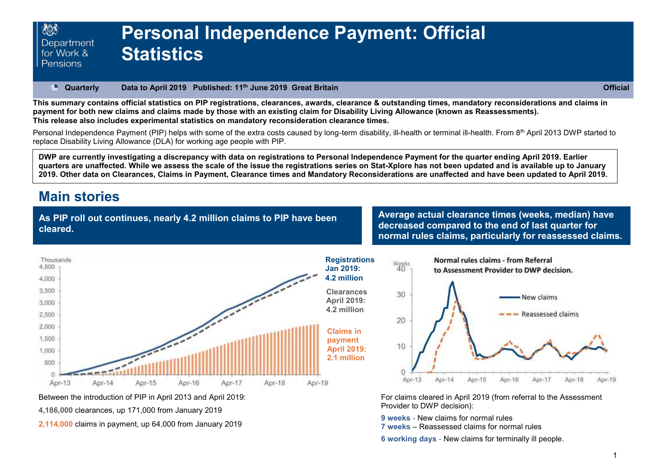#### **Quarterly Data to April 2019 Published: 11th June 2019 Great Britain Official**  P.

**This summary contains official statistics on PIP registrations, clearances, awards, clearance & outstanding times, mandatory reconsiderations and claims in payment for both new claims and claims made by those with an existing claim for Disability Living Allowance (known as Reassessments). This release also includes experimental statistics on mandatory reconsideration clearance times.**

Personal Independence Payment (PIP) helps with some of the extra costs caused by long-term disability, ill-health or terminal ill-health. From 8<sup>th</sup> April 2013 DWP started to replace Disability Living Allowance (DLA) for working age people with PIP.

**DWP are currently investigating a discrepancy with data on registrations to Personal Independence Payment for the quarter ending April 2019. Earlier quarters are unaffected. While we assess the scale of the issue the registrations series on Stat-Xplore has not been updated and is available up to January 2019. Other data on Clearances, Claims in Payment, Clearance times and Mandatory Reconsiderations are unaffected and have been updated to April 2019.**

## **Main stories**

**As PIP roll out continues, nearly 4.2 million claims to PIP have been cleared.**

**Average actual clearance times (weeks, median) have decreased compared to the end of last quarter for normal rules claims, particularly for reassessed claims.**







For claims cleared in April 2019 (from referral to the Assessment Provider to DWP decision):

**9 weeks** - New claims for normal rules

**7 weeks** – Reassessed claims for normal rules

**6 working days** - New claims for terminally ill people.

Between the introduction of PIP in April 2013 and April 2019:

**4,186,000** clearances, up 171,000 from January 2019

**2,114,000** claims in payment, up 64,000 from January 2019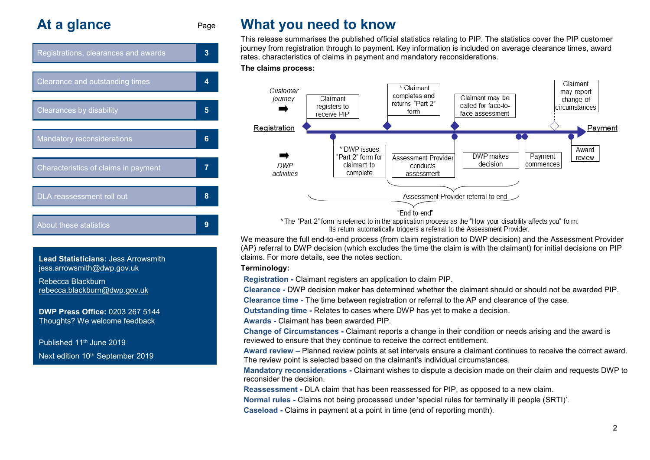# **At a glance** Page



**Lead Statisticians:** Jess Arrowsmith [jess.arrowsmith@dwp.gov.uk](mailto:jess.arrowsmith@dwp.gov.uk)

Rebecca Blackburn rebecca.blackburn@dwp.gov.uk

**DWP Press Office:** 0203 267 5144 Thoughts? We welcome feedback

Published 11th June 2019 Next edition 10<sup>th</sup> September 2019

# **What you need to know**

This release summarises the published official statistics relating to PIP. The statistics cover the PIP customer journey from registration through to payment. Key information is included on average clearance times, award rates, characteristics of claims in payment and mandatory reconsiderations.

#### **The claims process:**



\* The "Part 2" form is referred to in the application process as the "How your disability affects you" form. Its return automatically triggers a referral to the Assessment Provider.

We measure the full end-to-end process (from claim registration to DWP decision) and the Assessment Provider (AP) referral to DWP decision (which excludes the time the claim is with the claimant) for initial decisions on PIP claims. For more details, see the notes section.

#### **Terminology:**

**Registration -** Claimant registers an application to claim PIP.

**Clearance -** DWP decision maker has determined whether the claimant should or should not be awarded PIP.

**Clearance time -** The time between registration or referral to the AP and clearance of the case.

**Outstanding time -** Relates to cases where DWP has yet to make a decision.

**Awards -** Claimant has been awarded PIP.

**Change of Circumstances -** Claimant reports a change in their condition or needs arising and the award is reviewed to ensure that they continue to receive the correct entitlement.

**Award review –** Planned review points at set intervals ensure a claimant continues to receive the correct award. The review point is selected based on the claimant's individual circumstances.

**Mandatory reconsiderations -** Claimant wishes to dispute a decision made on their claim and requests DWP to reconsider the decision.

**Reassessment -** DLA claim that has been reassessed for PIP, as opposed to a new claim.

**Normal rules -** Claims not being processed under 'special rules for terminally ill people (SRTI)'.

**Caseload -** Claims in payment at a point in time (end of reporting month).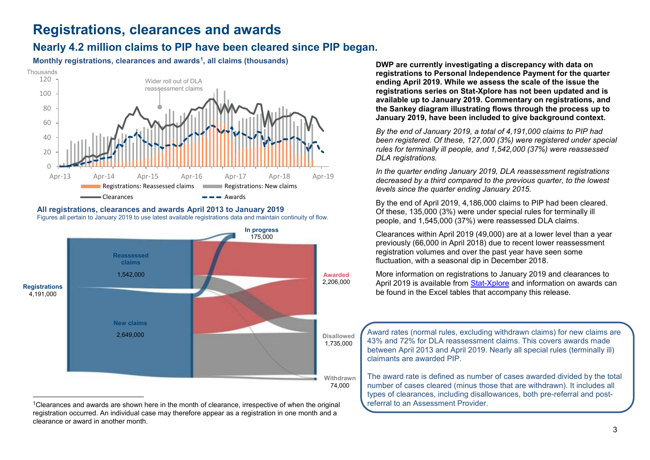# **Registrations, clearances and awards**

### <span id="page-2-0"></span>**Nearly 4.2 million claims to PIP have been cleared since PIP began.**

**Monthly registrations, clearances and awards<sup>1</sup> , all claims (thousands)** 



#### **All registrations, clearances and awards April 2013 to January 2019** Figures all pertain to January 2019 to use latest available registrations data and maintain continuity of flow.



<sup>1</sup>Clearances and awards are shown here in the month of clearance, irrespective of when the original registration occurred. An individual case may therefore appear as a registration in one month and a clearance or award in another month.

**DWP are currently investigating a discrepancy with data on registrations to Personal Independence Payment for the quarter ending April 2019. While we assess the scale of the issue the registrations series on Stat-Xplore has not been updated and is available up to January 2019. Commentary on registrations, and the Sankey diagram illustrating flows through the process up to January 2019, have been included to give background context.**

*By the end of January 2019, a total of 4,191,000 claims to PIP had been registered. Of these, 127,000 (3%) were registered under special rules for terminally ill people, and 1,542,000 (37%) were reassessed DLA registrations.*

*In the quarter ending January 2019, DLA reassessment registrations decreased by a third compared to the previous quarter, to the lowest levels since the quarter ending January 2015.* 

By the end of April 2019, 4,186,000 claims to PIP had been cleared. Of these, 135,000 (3%) were under special rules for terminally ill people, and 1,545,000 (37%) were reassessed DLA claims.

Clearances within April 2019 (49,000) are at a lower level than a year previously (66,000 in April 2018) due to recent lower reassessment registration volumes and over the past year have seen some fluctuation, with a seasonal dip in December 2018.

More information on registrations to January 2019 and clearances to April 2019 is available from [Stat-Xplore](https://www.gov.uk/government/organisations/department-for-work-pensions/about/statistics#stat-xplore) and information on awards can be found in the Excel tables that accompany this release.

Award rates (normal rules, excluding withdrawn claims) for new claims are 43% and 72% for DLA reassessment claims. This covers awards made between April 2013 and April 2019. Nearly all special rules (terminally ill) claimants are awarded PIP.

The award rate is defined as number of cases awarded divided by the total number of cases cleared (minus those that are withdrawn). It includes all types of clearances, including disallowances, both pre-referral and postreferral to an Assessment Provider.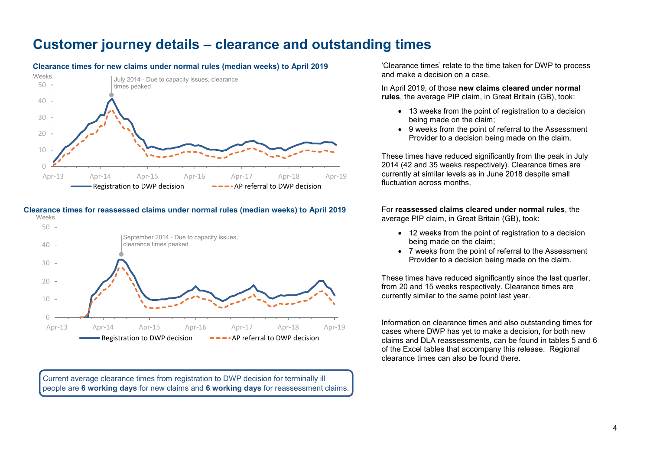# <span id="page-3-0"></span>**Customer journey details – clearance and outstanding times**



#### **Clearance times for new claims under normal rules (median weeks) to April 2019**

#### **Clearance times for reassessed claims under normal rules (median weeks) to April 2019** Weeks



Current average clearance times from registration to DWP decision for terminally ill people are **6 working days** for new claims and **6 working days** for reassessment claims.

'Clearance times' relate to the time taken for DWP to process and make a decision on a case.

In April 2019, of those **new claims cleared under normal rules**, the average PIP claim, in Great Britain (GB), took:

- 13 weeks from the point of registration to a decision being made on the claim;
- 9 weeks from the point of referral to the Assessment Provider to a decision being made on the claim.

These times have reduced significantly from the peak in July 2014 (42 and 35 weeks respectively). Clearance times are currently at similar levels as in June 2018 despite small fluctuation across months.

For **reassessed claims cleared under normal rules**, the average PIP claim, in Great Britain (GB), took:

- 12 weeks from the point of registration to a decision being made on the claim;
- 7 weeks from the point of referral to the Assessment Provider to a decision being made on the claim.

These times have reduced significantly since the last quarter, from 20 and 15 weeks respectively. Clearance times are currently similar to the same point last year.

Information on clearance times and also outstanding times for cases where DWP has yet to make a decision, for both new claims and DLA reassessments, can be found in tables 5 and 6 of the Excel tables that accompany this release. Regional clearance times can also be found there.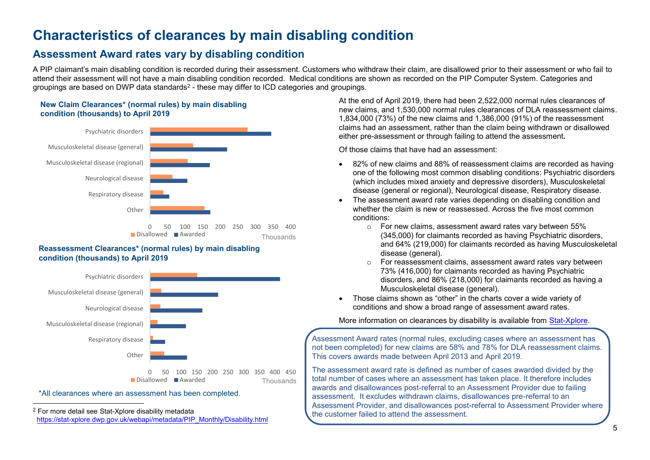# **Characteristics of clearances by main disabling condition**

### <span id="page-4-0"></span>**Assessment Award rates vary by disabling condition**

A PIP claimant's main disabling condition is recorded during their assessment. Customers who withdraw their claim, are disallowed prior to their assessment or who fail to attend their assessment will not have a main disabling condition recorded. Medical conditions are shown as recorded on the PIP Computer System. Categories and groupings are based on DWP data standards $^2$  - these may differ to ICD categories and groupings.

### **New Claim Clearances\* (normal rules) by main disabling condition (thousands) to April 2019**



#### **Reassessment Clearances\* (normal rules) by main disabling condition (thousands) to April 2019**



#### \*All clearances where an assessment has been completed.

-

At the end of April 2019, there had been 2,522,000 normal rules clearances of new claims, and 1,530,000 normal rules clearances of DLA reassessment claims. 1,834,000 (73%) of the new claims and 1,386,000 (91%) of the reassessment claims had an assessment, rather than the claim being withdrawn or disallowed either pre-assessment or through failing to attend the assessment**.**

Of those claims that have had an assessment:

- 82% of new claims and 88% of reassessment claims are recorded as having one of the following most common disabling conditions: Psychiatric disorders (which includes mixed anxiety and depressive disorders), Musculoskeletal disease (general or regional), Neurological disease, Respiratory disease.
- The assessment award rate varies depending on disabling condition and whether the claim is new or reassessed. Across the five most common conditions:
	- o For new claims, assessment award rates vary between 55% (345,000) for claimants recorded as having Psychiatric disorders, and 64% (219,000) for claimants recorded as having Musculoskeletal disease (general).
	- For reassessment claims, assessment award rates vary between 73% (416,000) for claimants recorded as having Psychiatric disorders, and 86% (218,000) for claimants recorded as having a Musculoskeletal disease (general).
- Those claims shown as "other" in the charts cover a wide variety of conditions and show a broad range of assessment award rates.

More information on clearances by disability is available from [Stat-Xplore.](https://www.gov.uk/government/organisations/department-for-work-pensions/about/statistics#stat-xplore)

Assessment Award rates (normal rules, excluding cases where an assessment has not been completed) for new claims are 58% and 78% for DLA reassessment claims. This covers awards made between April 2013 and April 2019.

The assessment award rate is defined as number of cases awarded divided by the total number of cases where an assessment has taken place. It therefore includes awards and disallowances post-referral to an Assessment Provider due to failing assessment. It excludes withdrawn claims, disallowances pre-referral to an Assessment Provider, and disallowances post-referral to Assessment Provider where the customer failed to attend the assessment.

<sup>2</sup> For more detail see Stat-Xplore disability metadata  [https://stat-xplore.dwp.gov.uk/webapi/metadata/PIP\\_Monthly/Disability.html](https://stat-xplore.dwp.gov.uk/webapi/metadata/PIP_Monthly/Disability.html)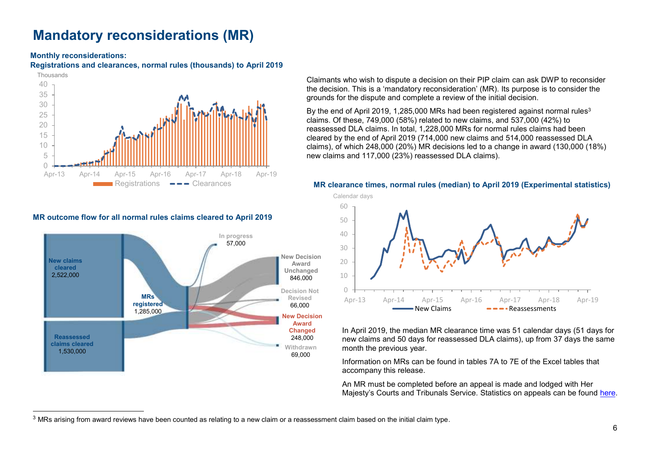# <span id="page-5-0"></span>**Mandatory reconsiderations (MR)**

#### **Monthly reconsiderations:**

**Registrations and clearances, normal rules (thousands) to April 2019**



#### **MR outcome flow for all normal rules claims cleared to April 2019**



Claimants who wish to dispute a decision on their PIP claim can ask DWP to reconsider the decision. This is a 'mandatory reconsideration' (MR). Its purpose is to consider the grounds for the dispute and complete a review of the initial decision.

By the end of April 2019, 1,285,000 MRs had been registered against normal rules<sup>3</sup> claims. Of these, 749,000 (58%) related to new claims, and 537,000 (42%) to reassessed DLA claims. In total, 1,228,000 MRs for normal rules claims had been cleared by the end of April 2019 (714,000 new claims and 514,000 reassessed DLA claims), of which 248,000 (20%) MR decisions led to a change in award (130,000 (18%) new claims and 117,000 (23%) reassessed DLA claims).

#### **MR clearance times, normal rules (median) to April 2019 (Experimental statistics)**



In April 2019, the median MR clearance time was 51 calendar days (51 days for new claims and 50 days for reassessed DLA claims), up from 37 days the same month the previous year.

Information on MRs can be found in tables 7A to 7E of the Excel tables that accompany this release.

An MR must be completed before an appeal is made and lodged with Her Majesty's Courts and Tribunals Service. Statistics on appeals can be found [here.](https://www.gov.uk/government/organisations/ministry-ofjustice/series/tribunals-statistics)

 $3$  MRs arising from award reviews have been counted as relating to a new claim or a reassessment claim based on the initial claim type.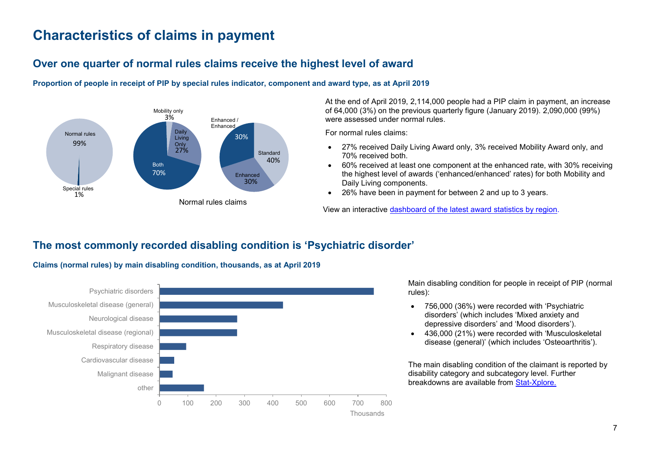# <span id="page-6-1"></span>**Characteristics of claims in payment**

## **Over one quarter of normal rules claims receive the highest level of award**





At the end of April 2019, 2,114,000 people had a PIP claim in payment, an increase of 64,000 (3%) on the previous quarterly figure (January 2019). 2,090,000 (99%) were assessed under normal rules.

For normal rules claims:

- 27% received Daily Living Award only, 3% received Mobility Award only, and 70% received both.
- 60% received at least one component at the enhanced rate, with 30% receiving the highest level of awards ('enhanced/enhanced' rates) for both Mobility and Daily Living components.
- 26% have been in payment for between 2 and up to 3 years.

View an interactive [dashboard of the latest award statistics by region.](https://pipdash.herokuapp.com/)

### <span id="page-6-0"></span>**The most commonly recorded disabling condition is 'Psychiatric disorder'**



**Claims (normal rules) by main disabling condition, thousands, as at April 2019**

Main disabling condition for people in receipt of PIP (normal rules):

- 756,000 (36%) were recorded with 'Psychiatric disorders' (which includes 'Mixed anxiety and depressive disorders' and 'Mood disorders').
- 436,000 (21%) were recorded with 'Musculoskeletal disease (general)' (which includes 'Osteoarthritis').

The main disabling condition of the claimant is reported by disability category and subcategory level. Further breakdowns are available from [Stat-Xplore.](https://www.gov.uk/government/organisations/department-for-work-pensions/about/statistics#stat-xplore)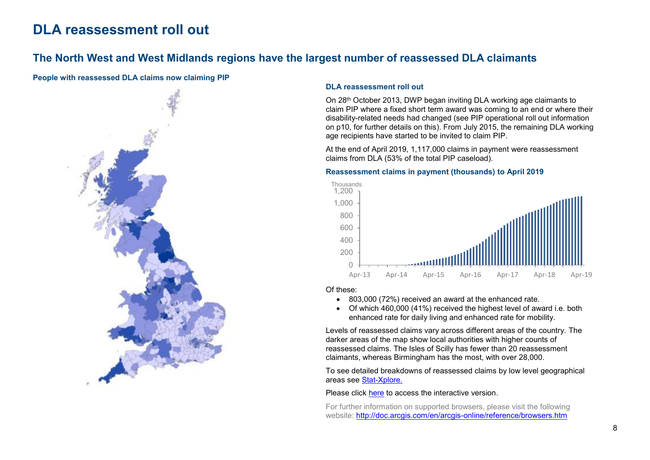# <span id="page-7-0"></span>**DLA reassessment roll out**

### **The North West and West Midlands regions have the largest number of reassessed DLA claimants**

#### **People with reassessed DLA claims now claiming PIP**



#### **DLA reassessment roll out**

On 28th October 2013, DWP began inviting DLA working age claimants to claim PIP where a fixed short term award was coming to an end or where their disability-related needs had changed (see PIP operational roll out information on p10, for further details on this). From July 2015, the remaining DLA working age recipients have started to be invited to claim PIP.

At the end of April 2019, 1,117,000 claims in payment were reassessment claims from DLA (53% of the total PIP caseload).

#### **Reassessment claims in payment (thousands) to April 2019**



#### Of these:

- 803,000 (72%) received an award at the enhanced rate.
- Of which 460,000 (41%) received the highest level of award i.e. both enhanced rate for daily living and enhanced rate for mobility.

Levels of reassessed claims vary across different areas of the country. The darker areas of the map show local authorities with higher counts of reassessed claims. The Isles of Scilly has fewer than 20 reassessment claimants, whereas Birmingham has the most, with over 28,000.

To see detailed breakdowns of reassessed claims by low level geographical areas see [Stat-Xplore.](https://www.gov.uk/government/organisations/department-for-work-pensions/about/statistics#stat-xplore)

#### Please click [here](http://dwp-stats.maps.arcgis.com/apps/Viewer/index.html?appid=4f2f5d71f682401b9b78ee5c6ea7887e) to access the interactive version.

For further information on supported browsers, please visit the following website:<http://doc.arcgis.com/en/arcgis-online/reference/browsers.htm>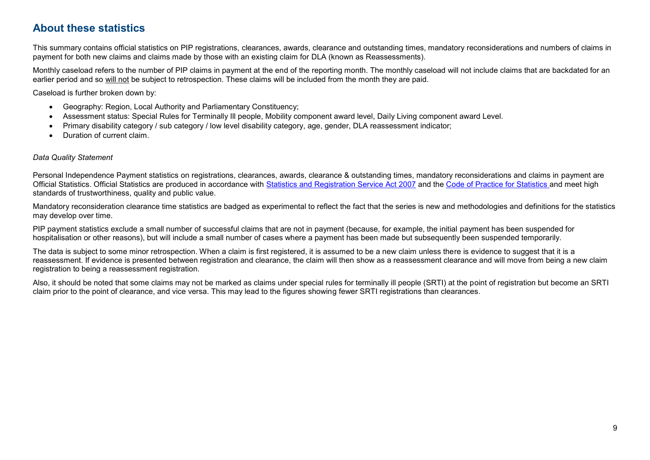### <span id="page-8-0"></span>**About these statistics**

This summary contains official statistics on PIP registrations, clearances, awards, clearance and outstanding times, mandatory reconsiderations and numbers of claims in payment for both new claims and claims made by those with an existing claim for DLA (known as Reassessments).

Monthly caseload refers to the number of PIP claims in payment at the end of the reporting month. The monthly caseload will not include claims that are backdated for an earlier period and so will not be subject to retrospection. These claims will be included from the month they are paid.

Caseload is further broken down by:

- Geography: Region, Local Authority and Parliamentary Constituency;
- Assessment status: Special Rules for Terminally Ill people, Mobility component award level, Daily Living component award Level.
- Primary disability category / sub category / low level disability category, age, gender, DLA reassessment indicator;
- Duration of current claim.

#### *Data Quality Statement*

Personal Independence Payment statistics on registrations, clearances, awards, clearance & outstanding times, mandatory reconsiderations and claims in payment are Official Statistics. Official Statistics are produced in accordance with [Statistics and Registration Service Act 2007](https://www.legislation.gov.uk/ukpga/2007/18/contents) and the [Code of Practice for Statistics](https://www.statisticsauthority.gov.uk/code-of-practice/) and meet high standards of trustworthiness, quality and public value.

Mandatory reconsideration clearance time statistics are badged as experimental to reflect the fact that the series is new and methodologies and definitions for the statistics may develop over time.

PIP payment statistics exclude a small number of successful claims that are not in payment (because, for example, the initial payment has been suspended for hospitalisation or other reasons), but will include a small number of cases where a payment has been made but subsequently been suspended temporarily.

The data is subject to some minor retrospection. When a claim is first registered, it is assumed to be a new claim unless there is evidence to suggest that it is a reassessment. If evidence is presented between registration and clearance, the claim will then show as a reassessment clearance and will move from being a new claim registration to being a reassessment registration.

Also, it should be noted that some claims may not be marked as claims under special rules for terminally ill people (SRTI) at the point of registration but become an SRTI claim prior to the point of clearance, and vice versa. This may lead to the figures showing fewer SRTI registrations than clearances.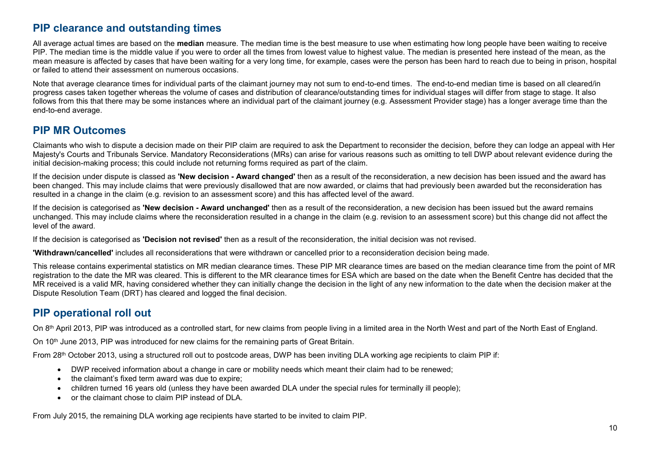### **PIP clearance and outstanding times**

All average actual times are based on the **median** measure. The median time is the best measure to use when estimating how long people have been waiting to receive PIP. The median time is the middle value if you were to order all the times from lowest value to highest value. The median is presented here instead of the mean, as the mean measure is affected by cases that have been waiting for a very long time, for example, cases were the person has been hard to reach due to being in prison, hospital or failed to attend their assessment on numerous occasions.

Note that average clearance times for individual parts of the claimant journey may not sum to end-to-end times. The end-to-end median time is based on all cleared/in progress cases taken together whereas the volume of cases and distribution of clearance/outstanding times for individual stages will differ from stage to stage. It also follows from this that there may be some instances where an individual part of the claimant journey (e.g. Assessment Provider stage) has a longer average time than the end-to-end average.

### **PIP MR Outcomes**

Claimants who wish to dispute a decision made on their PIP claim are required to ask the Department to reconsider the decision, before they can lodge an appeal with Her Majesty's Courts and Tribunals Service. Mandatory Reconsiderations (MRs) can arise for various reasons such as omitting to tell DWP about relevant evidence during the initial decision-making process; this could include not returning forms required as part of the claim.

If the decision under dispute is classed as **'New decision - Award changed'** then as a result of the reconsideration, a new decision has been issued and the award has been changed. This may include claims that were previously disallowed that are now awarded, or claims that had previously been awarded but the reconsideration has resulted in a change in the claim (e.g. revision to an assessment score) and this has affected level of the award.

If the decision is categorised as **'New decision - Award unchanged'** then as a result of the reconsideration, a new decision has been issued but the award remains unchanged. This may include claims where the reconsideration resulted in a change in the claim (e.g. revision to an assessment score) but this change did not affect the level of the award.

If the decision is categorised as **'Decision not revised'** then as a result of the reconsideration, the initial decision was not revised.

**'Withdrawn/cancelled'** includes all reconsiderations that were withdrawn or cancelled prior to a reconsideration decision being made.

This release contains experimental statistics on MR median clearance times. These PIP MR clearance times are based on the median clearance time from the point of MR registration to the date the MR was cleared. This is different to the MR clearance times for ESA which are based on the date when the Benefit Centre has decided that the MR received is a valid MR, having considered whether they can initially change the decision in the light of any new information to the date when the decision maker at the Dispute Resolution Team (DRT) has cleared and logged the final decision.

### **PIP operational roll out**

On 8<sup>th</sup> April 2013, PIP was introduced as a controlled start, for new claims from people living in a limited area in the North West and part of the North East of England.

On 10<sup>th</sup> June 2013, PIP was introduced for new claims for the remaining parts of Great Britain.

From 28<sup>th</sup> October 2013, using a structured roll out to postcode areas, DWP has been inviting DLA working age recipients to claim PIP if:

- DWP received information about a change in care or mobility needs which meant their claim had to be renewed;
- the claimant's fixed term award was due to expire;
- children turned 16 years old (unless they have been awarded DLA under the special rules for terminally ill people);
- or the claimant chose to claim PIP instead of DLA.

From July 2015, the remaining DLA working age recipients have started to be invited to claim PIP.